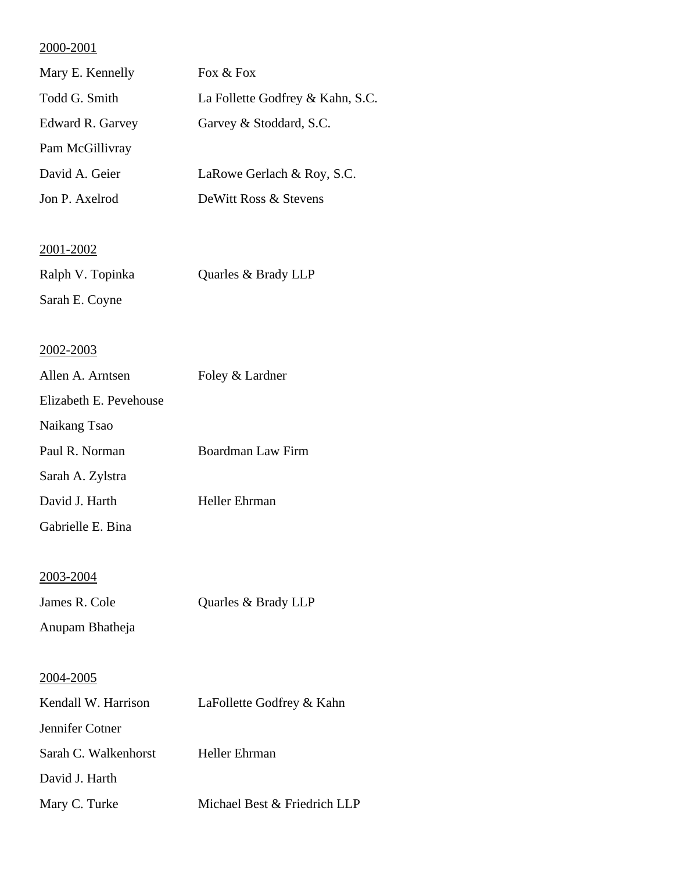| Mary E. Kennelly | Fox $\&$ Fox                     |
|------------------|----------------------------------|
| Todd G. Smith    | La Follette Godfrey & Kahn, S.C. |
| Edward R. Garvey | Garvey & Stoddard, S.C.          |
| Pam McGillivray  |                                  |
| David A. Geier   | LaRowe Gerlach & Roy, S.C.       |
| Jon P. Axelrod   | DeWitt Ross & Stevens            |
|                  |                                  |

## 2001-2002

| Ralph V. Topinka | Quarles & Brady LLP |
|------------------|---------------------|
| Sarah E. Coyne   |                     |

## 2002-2003

| Allen A. Arntsen       | Foley & Lardner   |
|------------------------|-------------------|
| Elizabeth E. Pevehouse |                   |
| Naikang Tsao           |                   |
| Paul R. Norman         | Boardman Law Firm |
| Sarah A. Zylstra       |                   |
| David J. Harth         | Heller Ehrman     |
| Gabrielle E. Bina      |                   |

## 2003-2004

| James R. Cole   | Quarles & Brady LLP |
|-----------------|---------------------|
| Anupam Bhatheja |                     |

| Kendall W. Harrison  | LaFollette Godfrey & Kahn    |
|----------------------|------------------------------|
| Jennifer Cotner      |                              |
| Sarah C. Walkenhorst | Heller Ehrman                |
| David J. Harth       |                              |
| Mary C. Turke        | Michael Best & Friedrich LLP |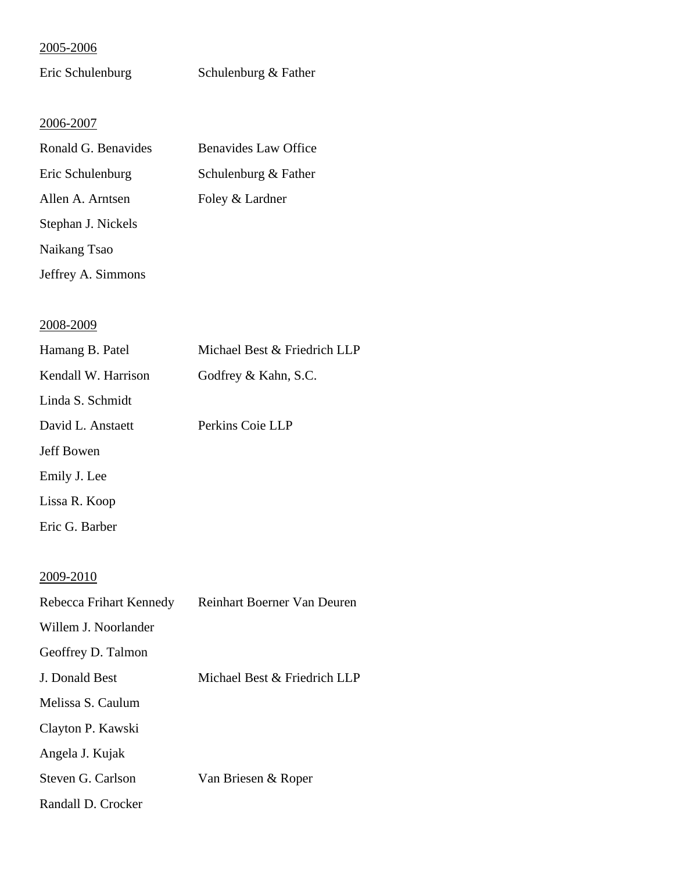| Eric Schulenburg | Schulenburg & Father |
|------------------|----------------------|
|------------------|----------------------|

## 2006-2007

| Ronald G. Benavides | <b>Benavides Law Office</b> |
|---------------------|-----------------------------|
| Eric Schulenburg    | Schulenburg & Father        |
| Allen A. Arntsen    | Foley & Lardner             |
| Stephan J. Nickels  |                             |
| Naikang Tsao        |                             |
| Jeffrey A. Simmons  |                             |

## 2008-2009

| Hamang B. Patel         | Michael Best & Friedrich LLP |
|-------------------------|------------------------------|
| Kendall W. Harrison     | Godfrey & Kahn, S.C.         |
| Linda S. Schmidt        |                              |
| David L. Anstaett       | Perkins Coie LLP             |
| <b>Jeff Bowen</b>       |                              |
| Emily J. Lee            |                              |
| Lissa R. Koop           |                              |
| Eric G. Barber          |                              |
|                         |                              |
| 2009-2010               |                              |
| Rebecca Frihart Kennedy | Reinhart Boerner Van Deuren  |
| Willem J. Noorlander    |                              |

Geoffrey D. Talmon

J. Donald Best Michael Best & Friedrich LLP

Melissa S. Caulum

Clayton P. Kawski

Angela J. Kujak

Steven G. Carlson Van Briesen & Roper

Randall D. Crocker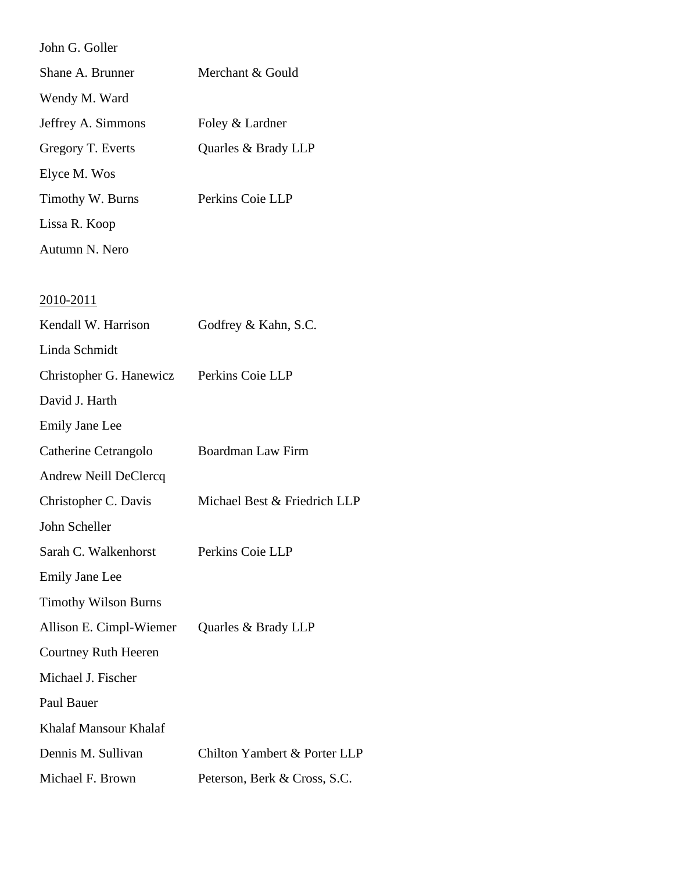| John G. Goller              |                              |
|-----------------------------|------------------------------|
| Shane A. Brunner            | Merchant & Gould             |
| Wendy M. Ward               |                              |
| Jeffrey A. Simmons          | Foley & Lardner              |
| Gregory T. Everts           | Quarles & Brady LLP          |
| Elyce M. Wos                |                              |
| Timothy W. Burns            | Perkins Coie LLP             |
| Lissa R. Koop               |                              |
| Autumn N. Nero              |                              |
|                             |                              |
| <u>2010-2011</u>            |                              |
| Kendall W. Harrison         | Godfrey & Kahn, S.C.         |
| Linda Schmidt               |                              |
| Christopher G. Hanewicz     | Perkins Coie LLP             |
| David J. Harth              |                              |
| <b>Emily Jane Lee</b>       |                              |
| Catherine Cetrangolo        | Boardman Law Firm            |
| Andrew Neill DeClercq       |                              |
| Christopher C. Davis        | Michael Best & Friedrich LLP |
| John Scheller               |                              |
| Sarah C. Walkenhorst        | Perkins Coie LLP             |
| <b>Emily Jane Lee</b>       |                              |
| <b>Timothy Wilson Burns</b> |                              |
| Allison E. Cimpl-Wiemer     | Quarles & Brady LLP          |
| <b>Courtney Ruth Heeren</b> |                              |
| Michael J. Fischer          |                              |
| Paul Bauer                  |                              |
| Khalaf Mansour Khalaf       |                              |
| Dennis M. Sullivan          | Chilton Yambert & Porter LLP |
| Michael F. Brown            | Peterson, Berk & Cross, S.C. |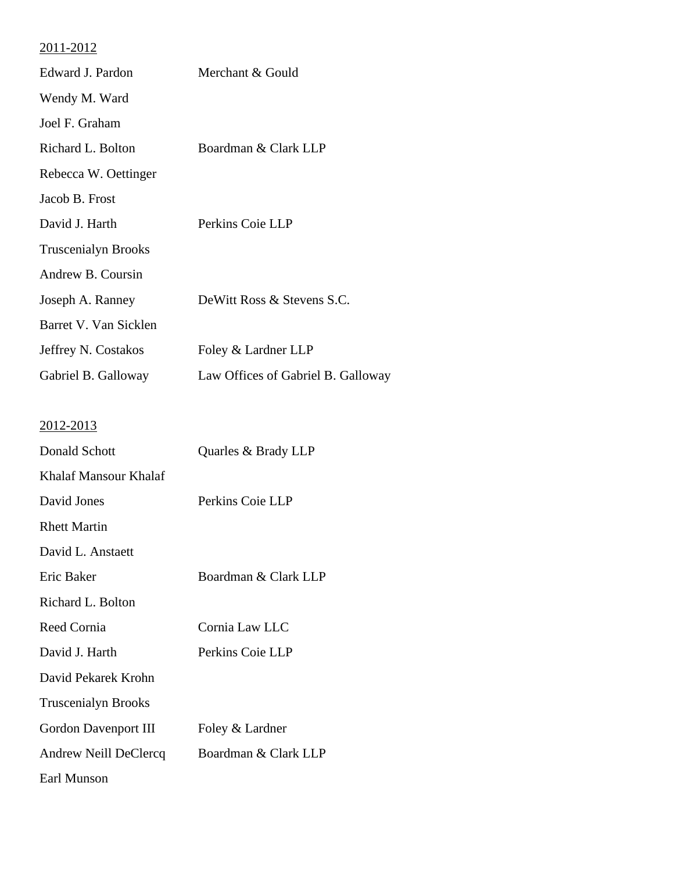| Edward J. Pardon           | Merchant & Gould                   |
|----------------------------|------------------------------------|
| Wendy M. Ward              |                                    |
| Joel F. Graham             |                                    |
| Richard L. Bolton          | Boardman & Clark LLP               |
| Rebecca W. Oettinger       |                                    |
| Jacob B. Frost             |                                    |
| David J. Harth             | Perkins Coie LLP                   |
| <b>Truscenialyn Brooks</b> |                                    |
| Andrew B. Coursin          |                                    |
| Joseph A. Ranney           | DeWitt Ross & Stevens S.C.         |
| Barret V. Van Sicklen      |                                    |
| Jeffrey N. Costakos        | Foley & Lardner LLP                |
| Gabriel B. Galloway        | Law Offices of Gabriel B. Galloway |
|                            |                                    |
| <u>2012-2013</u>           |                                    |
| Donald Schott              | Quarles & Brady LLP                |
| Khalaf Mansour Khalaf      |                                    |
| David Jones                | Perkins Coie LLP                   |
| <b>Rhett Martin</b>        |                                    |
| David L. Anstaett          |                                    |
| Eric Baker                 | Boardman & Clark LLP               |
| Richard L. Bolton          |                                    |
| Reed Cornia                | Cornia Law LLC                     |
| David J. Harth             | Perkins Coie LLP                   |
| David Pekarek Krohn        |                                    |
| <b>Truscenialyn Brooks</b> |                                    |
| Gordon Davenport III       | Foley & Lardner                    |
| Andrew Neill DeClercq      | Boardman & Clark LLP               |
| Earl Munson                |                                    |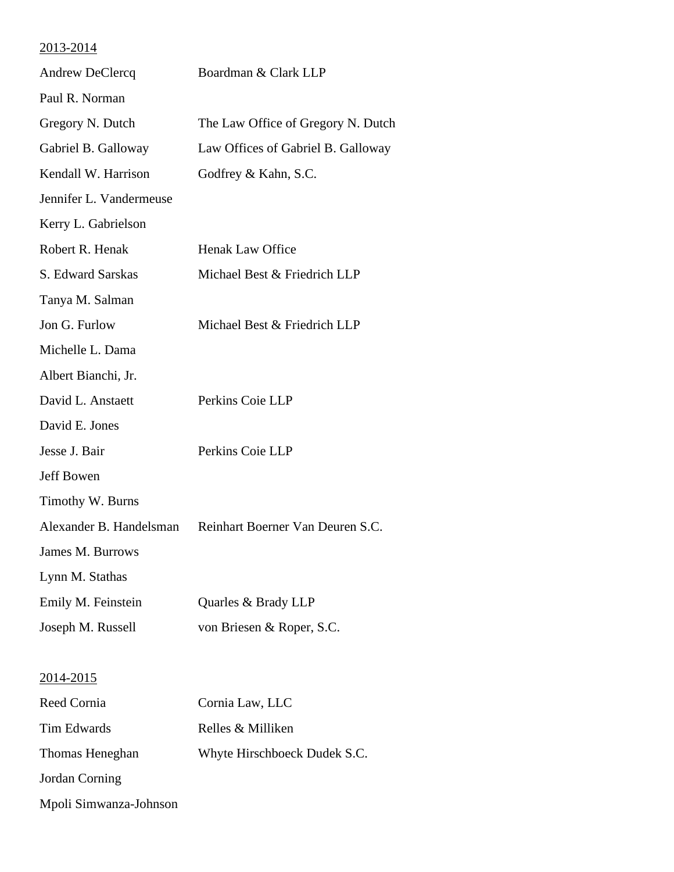# 2013-2014 Andrew DeClercq Boardman & Clark LLP Paul R. Norman Gregory N. Dutch The Law Office of Gregory N. Dutch Gabriel B. Galloway Law Offices of Gabriel B. Galloway Kendall W. Harrison Godfrey & Kahn, S.C. Jennifer L. Vandermeuse Kerry L. Gabrielson Robert R. Henak **Henak Law Office** S. Edward Sarskas Michael Best & Friedrich LLP Tanya M. Salman Jon G. Furlow Michael Best & Friedrich LLP Michelle L. Dama Albert Bianchi, Jr. David L. Anstaett Perkins Coie LLP David E. Jones Jesse J. Bair Perkins Coie LLP Jeff Bowen Timothy W. Burns Alexander B. Handelsman Reinhart Boerner Van Deuren S.C. James M. Burrows Lynn M. Stathas Emily M. Feinstein Quarles & Brady LLP Joseph M. Russell von Briesen & Roper, S.C. 2014-2015 Reed Cornia Cornia Law, LLC Tim Edwards Relles & Milliken Thomas Heneghan Whyte Hirschboeck Dudek S.C. Jordan Corning Mpoli Simwanza-Johnson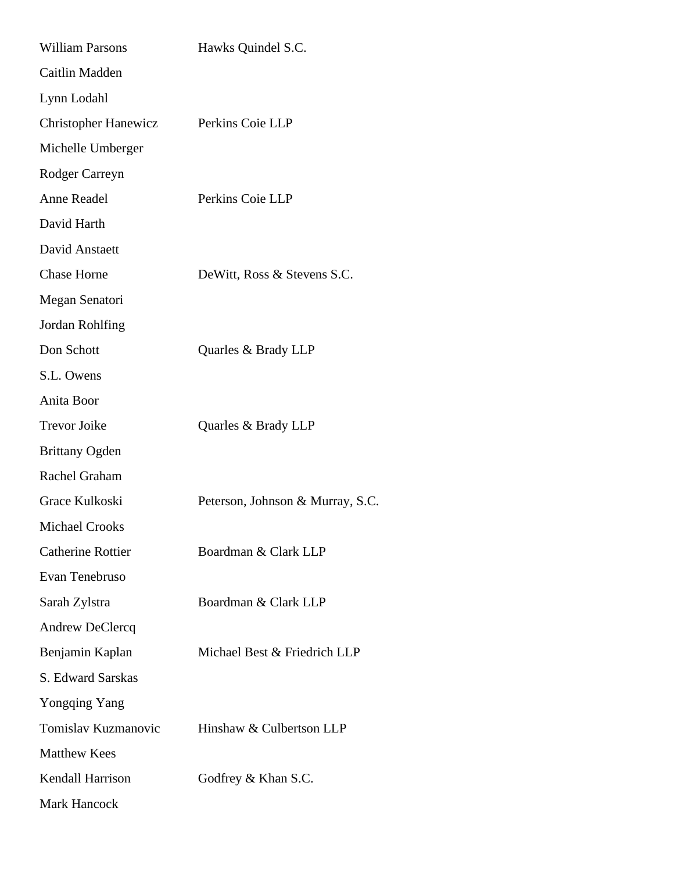| <b>William Parsons</b>      | Hawks Quindel S.C.               |
|-----------------------------|----------------------------------|
| Caitlin Madden              |                                  |
| Lynn Lodahl                 |                                  |
| <b>Christopher Hanewicz</b> | Perkins Coie LLP                 |
| Michelle Umberger           |                                  |
| Rodger Carreyn              |                                  |
| Anne Readel                 | Perkins Coie LLP                 |
| David Harth                 |                                  |
| David Anstaett              |                                  |
| <b>Chase Horne</b>          | DeWitt, Ross & Stevens S.C.      |
| Megan Senatori              |                                  |
| Jordan Rohlfing             |                                  |
| Don Schott                  | Quarles & Brady LLP              |
| S.L. Owens                  |                                  |
| Anita Boor                  |                                  |
| <b>Trevor Joike</b>         | Quarles & Brady LLP              |
| <b>Brittany Ogden</b>       |                                  |
| Rachel Graham               |                                  |
| Grace Kulkoski              | Peterson, Johnson & Murray, S.C. |
| Michael Crooks              |                                  |
| <b>Catherine Rottier</b>    | Boardman & Clark LLP             |
| Evan Tenebruso              |                                  |
| Sarah Zylstra               | Boardman & Clark LLP             |
| Andrew DeClercq             |                                  |
| Benjamin Kaplan             | Michael Best & Friedrich LLP     |
| S. Edward Sarskas           |                                  |
| Yongqing Yang               |                                  |
| Tomislav Kuzmanovic         | Hinshaw & Culbertson LLP         |
| <b>Matthew Kees</b>         |                                  |
| Kendall Harrison            | Godfrey & Khan S.C.              |
| <b>Mark Hancock</b>         |                                  |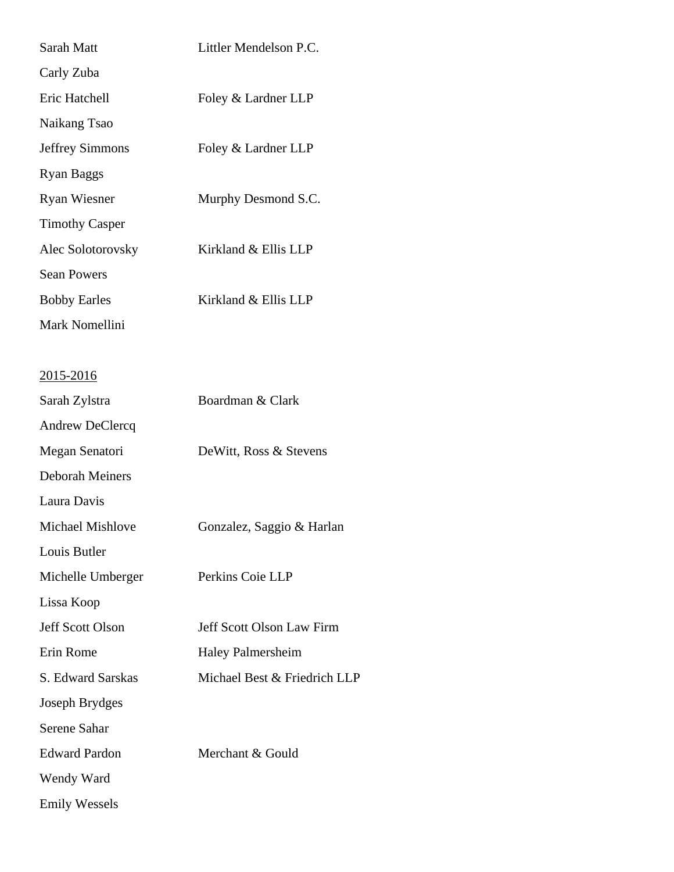| Sarah Matt              | Littler Mendelson P.C.       |
|-------------------------|------------------------------|
| Carly Zuba              |                              |
| Eric Hatchell           | Foley & Lardner LLP          |
| Naikang Tsao            |                              |
| <b>Jeffrey Simmons</b>  | Foley & Lardner LLP          |
| <b>Ryan Baggs</b>       |                              |
| <b>Ryan Wiesner</b>     | Murphy Desmond S.C.          |
| <b>Timothy Casper</b>   |                              |
| Alec Solotorovsky       | Kirkland & Ellis LLP         |
| <b>Sean Powers</b>      |                              |
| <b>Bobby Earles</b>     | Kirkland & Ellis LLP         |
| Mark Nomellini          |                              |
|                         |                              |
| <u>2015-2016</u>        |                              |
| Sarah Zylstra           | Boardman & Clark             |
| Andrew DeClercq         |                              |
| Megan Senatori          | DeWitt, Ross & Stevens       |
| <b>Deborah Meiners</b>  |                              |
| Laura Davis             |                              |
| Michael Mishlove        | Gonzalez, Saggio & Harlan    |
| Louis Butler            |                              |
| Michelle Umberger       | Perkins Coie LLP             |
| Lissa Koop              |                              |
| <b>Jeff Scott Olson</b> | Jeff Scott Olson Law Firm    |
| Erin Rome               | <b>Haley Palmersheim</b>     |
| S. Edward Sarskas       | Michael Best & Friedrich LLP |
| Joseph Brydges          |                              |
| Serene Sahar            |                              |
| <b>Edward Pardon</b>    | Merchant & Gould             |
| Wendy Ward              |                              |

Emily Wessels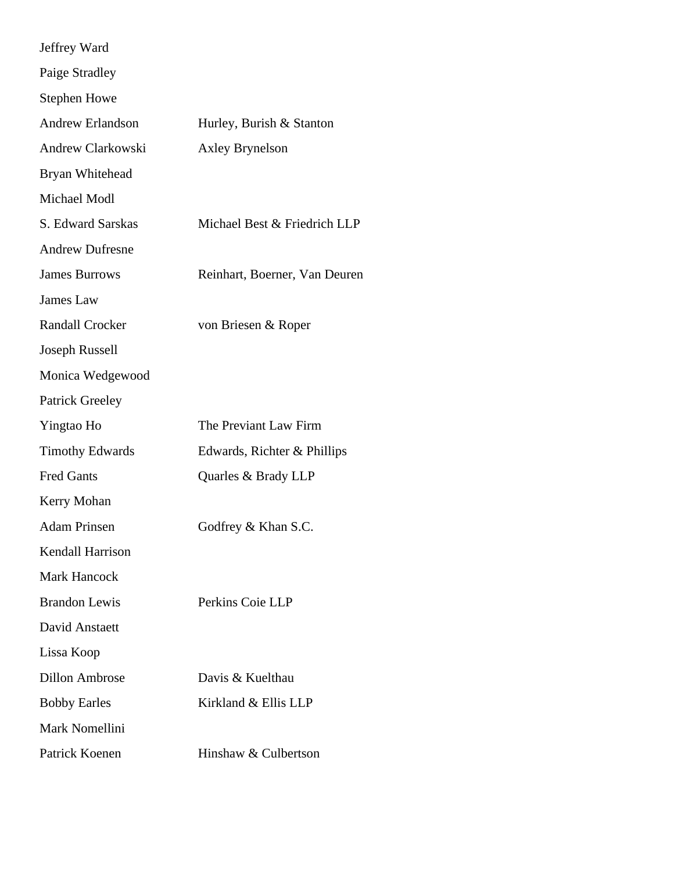| Jeffrey Ward            |                               |
|-------------------------|-------------------------------|
| Paige Stradley          |                               |
| <b>Stephen Howe</b>     |                               |
| <b>Andrew Erlandson</b> | Hurley, Burish & Stanton      |
| Andrew Clarkowski       | <b>Axley Brynelson</b>        |
| Bryan Whitehead         |                               |
| Michael Modl            |                               |
| S. Edward Sarskas       | Michael Best & Friedrich LLP  |
| <b>Andrew Dufresne</b>  |                               |
| <b>James Burrows</b>    | Reinhart, Boerner, Van Deuren |
| James Law               |                               |
| <b>Randall Crocker</b>  | von Briesen & Roper           |
| Joseph Russell          |                               |
| Monica Wedgewood        |                               |
| <b>Patrick Greeley</b>  |                               |
| Yingtao Ho              | The Previant Law Firm         |
| <b>Timothy Edwards</b>  | Edwards, Richter & Phillips   |
| <b>Fred Gants</b>       | Quarles & Brady LLP           |
| Kerry Mohan             |                               |
| <b>Adam Prinsen</b>     | Godfrey & Khan S.C.           |
| <b>Kendall Harrison</b> |                               |
| <b>Mark Hancock</b>     |                               |
| <b>Brandon Lewis</b>    | Perkins Coie LLP              |
| David Anstaett          |                               |
| Lissa Koop              |                               |
| <b>Dillon Ambrose</b>   | Davis & Kuelthau              |
| <b>Bobby Earles</b>     | Kirkland & Ellis LLP          |
| Mark Nomellini          |                               |
| Patrick Koenen          | Hinshaw & Culbertson          |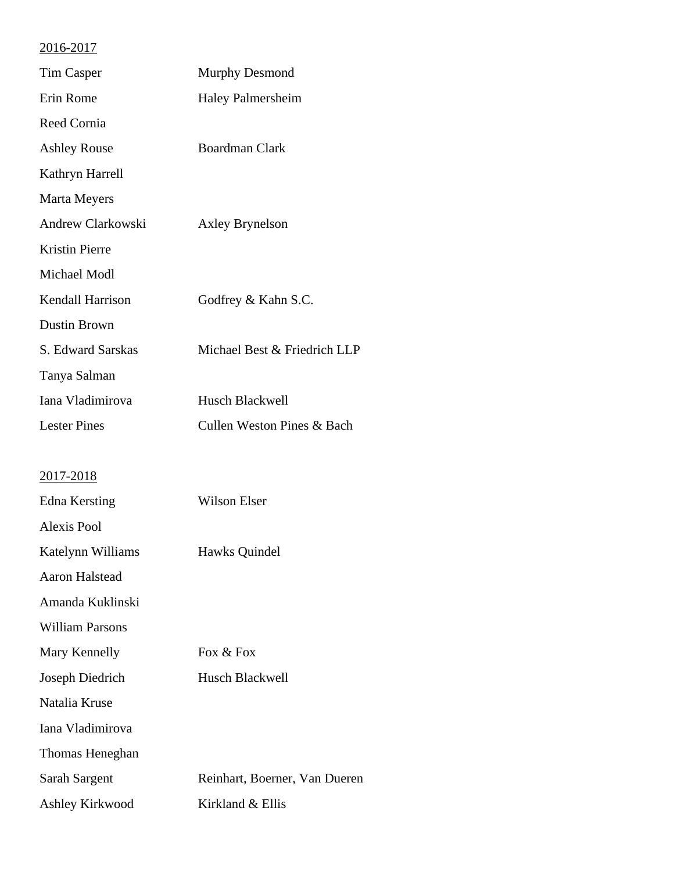| <b>Tim Casper</b>      | Murphy Desmond                |
|------------------------|-------------------------------|
| Erin Rome              | <b>Haley Palmersheim</b>      |
| Reed Cornia            |                               |
| <b>Ashley Rouse</b>    | <b>Boardman Clark</b>         |
| Kathryn Harrell        |                               |
| Marta Meyers           |                               |
| Andrew Clarkowski      | <b>Axley Brynelson</b>        |
| <b>Kristin Pierre</b>  |                               |
| Michael Modl           |                               |
| Kendall Harrison       | Godfrey & Kahn S.C.           |
| <b>Dustin Brown</b>    |                               |
| S. Edward Sarskas      | Michael Best & Friedrich LLP  |
| Tanya Salman           |                               |
| Iana Vladimirova       | Husch Blackwell               |
| <b>Lester Pines</b>    | Cullen Weston Pines & Bach    |
|                        |                               |
| 2017-2018              |                               |
| <b>Edna Kersting</b>   | <b>Wilson Elser</b>           |
| <b>Alexis Pool</b>     |                               |
| Katelynn Williams      | Hawks Quindel                 |
| Aaron Halstead         |                               |
| Amanda Kuklinski       |                               |
| <b>William Parsons</b> |                               |
| Mary Kennelly          | Fox & Fox                     |
| Joseph Diedrich        | Husch Blackwell               |
| Natalia Kruse          |                               |
| Iana Vladimirova       |                               |
| Thomas Heneghan        |                               |
| Sarah Sargent          | Reinhart, Boerner, Van Dueren |
| Ashley Kirkwood        | Kirkland & Ellis              |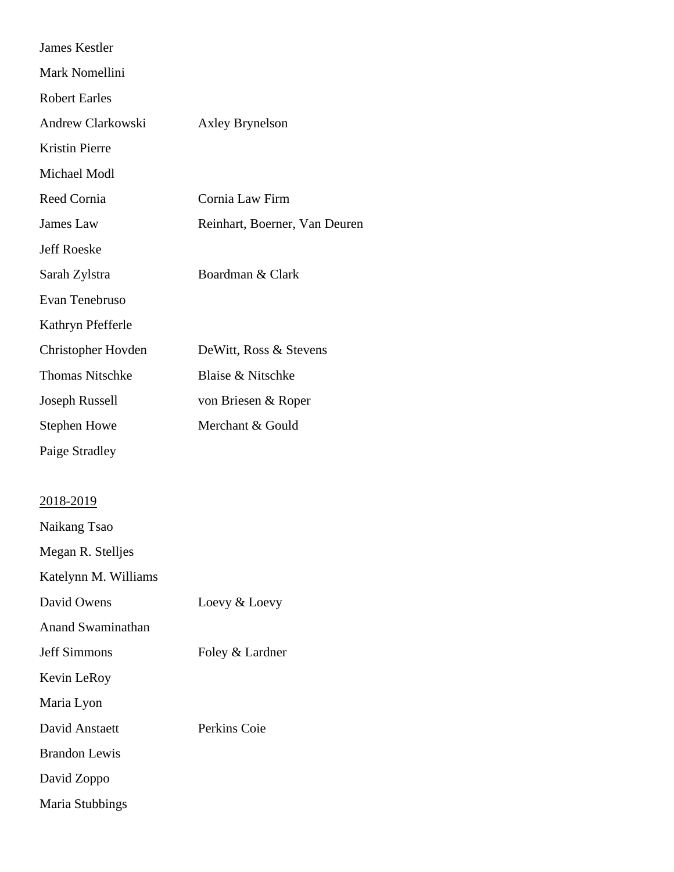| <b>James Kestler</b>     |                               |
|--------------------------|-------------------------------|
| Mark Nomellini           |                               |
| <b>Robert Earles</b>     |                               |
| Andrew Clarkowski        | <b>Axley Brynelson</b>        |
| <b>Kristin Pierre</b>    |                               |
| Michael Modl             |                               |
| <b>Reed Cornia</b>       | Cornia Law Firm               |
| James Law                | Reinhart, Boerner, Van Deuren |
| <b>Jeff Roeske</b>       |                               |
| Sarah Zylstra            | Boardman & Clark              |
| Evan Tenebruso           |                               |
| Kathryn Pfefferle        |                               |
| Christopher Hovden       | DeWitt, Ross & Stevens        |
| <b>Thomas Nitschke</b>   | Blaise & Nitschke             |
| Joseph Russell           | von Briesen & Roper           |
| <b>Stephen Howe</b>      | Merchant & Gould              |
| Paige Stradley           |                               |
|                          |                               |
| 2018-2019                |                               |
| Naikang Tsao             |                               |
| Megan R. Stelljes        |                               |
| Katelynn M. Williams     |                               |
| David Owens              | Loevy & Loevy                 |
| <b>Anand Swaminathan</b> |                               |
| <b>Jeff Simmons</b>      | Foley & Lardner               |
| Kevin LeRoy              |                               |
| Maria Lyon               |                               |
| David Anstaett           | Perkins Coie                  |
| <b>Brandon Lewis</b>     |                               |
| David Zoppo              |                               |
| Maria Stubbings          |                               |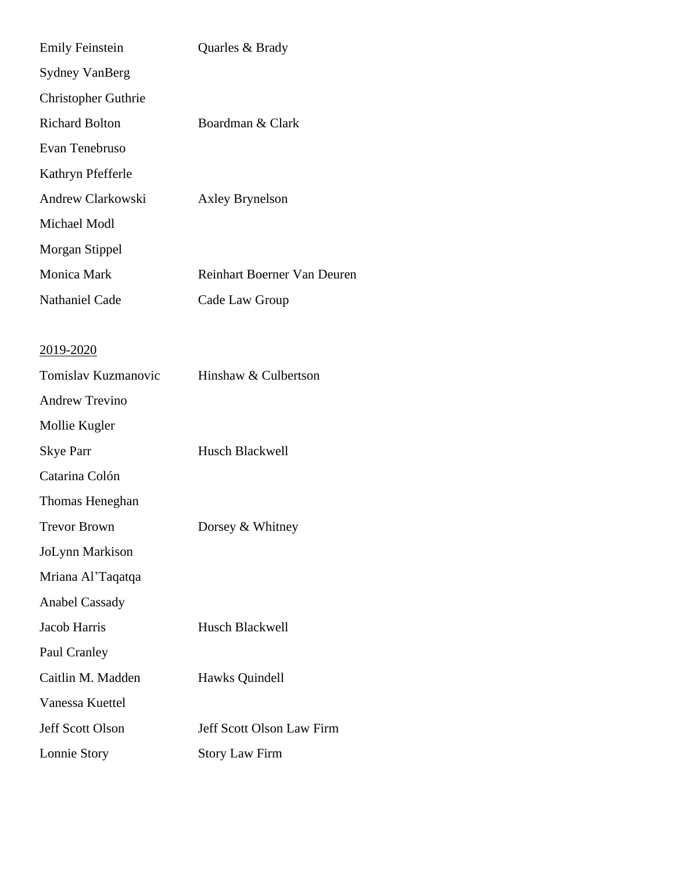| <b>Emily Feinstein</b>     | Quarles & Brady             |
|----------------------------|-----------------------------|
| <b>Sydney VanBerg</b>      |                             |
| <b>Christopher Guthrie</b> |                             |
| <b>Richard Bolton</b>      | Boardman & Clark            |
| Evan Tenebruso             |                             |
| Kathryn Pfefferle          |                             |
| Andrew Clarkowski          | <b>Axley Brynelson</b>      |
| Michael Modl               |                             |
| Morgan Stippel             |                             |
| Monica Mark                | Reinhart Boerner Van Deuren |
| <b>Nathaniel Cade</b>      | Cade Law Group              |
|                            |                             |
| <u>2019-2020</u>           |                             |
| Tomislav Kuzmanovic        | Hinshaw & Culbertson        |
| <b>Andrew Trevino</b>      |                             |
| Mollie Kugler              |                             |
| <b>Skye Parr</b>           | Husch Blackwell             |
| Catarina Colón             |                             |
| Thomas Heneghan            |                             |
| <b>Trevor Brown</b>        | Dorsey & Whitney            |
| JoLynn Markison            |                             |
| Mriana Al'Taqatqa          |                             |
| <b>Anabel Cassady</b>      |                             |
| Jacob Harris               | Husch Blackwell             |
| Paul Cranley               |                             |
| Caitlin M. Madden          | Hawks Quindell              |
| Vanessa Kuettel            |                             |
| <b>Jeff Scott Olson</b>    | Jeff Scott Olson Law Firm   |
| Lonnie Story               | <b>Story Law Firm</b>       |